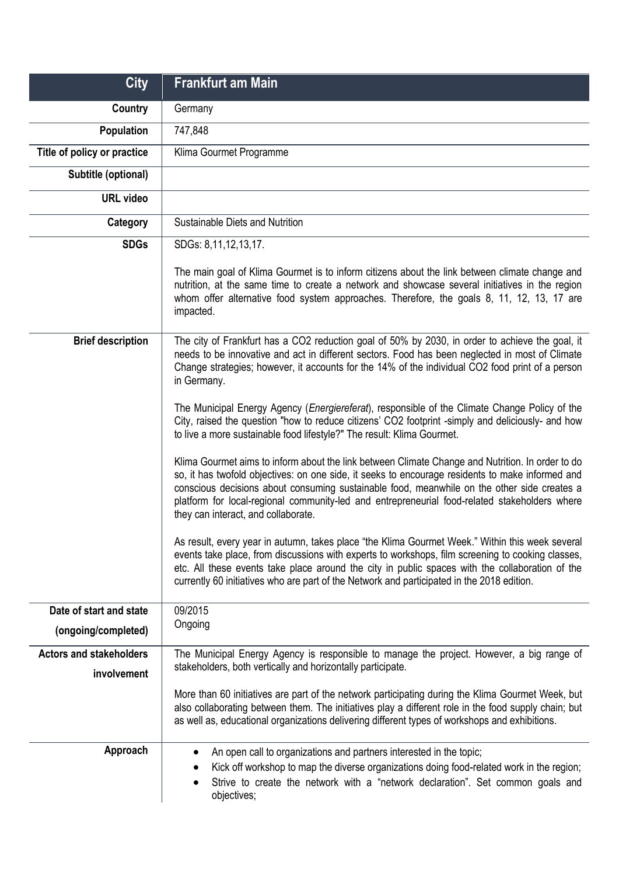| <b>City</b>                                    | <b>Frankfurt am Main</b>                                                                                                                                                                                                                                                                                                                                                                                                                    |
|------------------------------------------------|---------------------------------------------------------------------------------------------------------------------------------------------------------------------------------------------------------------------------------------------------------------------------------------------------------------------------------------------------------------------------------------------------------------------------------------------|
| Country                                        | Germany                                                                                                                                                                                                                                                                                                                                                                                                                                     |
| Population                                     | 747,848                                                                                                                                                                                                                                                                                                                                                                                                                                     |
| Title of policy or practice                    | Klima Gourmet Programme                                                                                                                                                                                                                                                                                                                                                                                                                     |
| Subtitle (optional)                            |                                                                                                                                                                                                                                                                                                                                                                                                                                             |
| <b>URL</b> video                               |                                                                                                                                                                                                                                                                                                                                                                                                                                             |
| Category                                       | Sustainable Diets and Nutrition                                                                                                                                                                                                                                                                                                                                                                                                             |
| <b>SDGs</b>                                    | SDGs: 8,11,12,13,17.                                                                                                                                                                                                                                                                                                                                                                                                                        |
|                                                | The main goal of Klima Gourmet is to inform citizens about the link between climate change and<br>nutrition, at the same time to create a network and showcase several initiatives in the region<br>whom offer alternative food system approaches. Therefore, the goals 8, 11, 12, 13, 17 are<br>impacted.                                                                                                                                  |
| <b>Brief description</b>                       | The city of Frankfurt has a CO2 reduction goal of 50% by 2030, in order to achieve the goal, it<br>needs to be innovative and act in different sectors. Food has been neglected in most of Climate<br>Change strategies; however, it accounts for the 14% of the individual CO2 food print of a person<br>in Germany.                                                                                                                       |
|                                                | The Municipal Energy Agency (Energiereferat), responsible of the Climate Change Policy of the<br>City, raised the question "how to reduce citizens' CO2 footprint -simply and deliciously- and how<br>to live a more sustainable food lifestyle?" The result: Klima Gourmet.                                                                                                                                                                |
|                                                | Klima Gourmet aims to inform about the link between Climate Change and Nutrition. In order to do<br>so, it has twofold objectives: on one side, it seeks to encourage residents to make informed and<br>conscious decisions about consuming sustainable food, meanwhile on the other side creates a<br>platform for local-regional community-led and entrepreneurial food-related stakeholders where<br>they can interact, and collaborate. |
|                                                | As result, every year in autumn, takes place "the Klima Gourmet Week." Within this week several<br>events take place, from discussions with experts to workshops, film screening to cooking classes,<br>etc. All these events take place around the city in public spaces with the collaboration of the<br>currently 60 initiatives who are part of the Network and participated in the 2018 edition.                                       |
| Date of start and state<br>(ongoing/completed) | 09/2015<br>Ongoing                                                                                                                                                                                                                                                                                                                                                                                                                          |
| <b>Actors and stakeholders</b><br>involvement  | The Municipal Energy Agency is responsible to manage the project. However, a big range of<br>stakeholders, both vertically and horizontally participate.                                                                                                                                                                                                                                                                                    |
|                                                | More than 60 initiatives are part of the network participating during the Klima Gourmet Week, but<br>also collaborating between them. The initiatives play a different role in the food supply chain; but<br>as well as, educational organizations delivering different types of workshops and exhibitions.                                                                                                                                 |
| Approach                                       | An open call to organizations and partners interested in the topic;<br>٠<br>Kick off workshop to map the diverse organizations doing food-related work in the region;<br>Strive to create the network with a "network declaration". Set common goals and<br>٠<br>objectives;                                                                                                                                                                |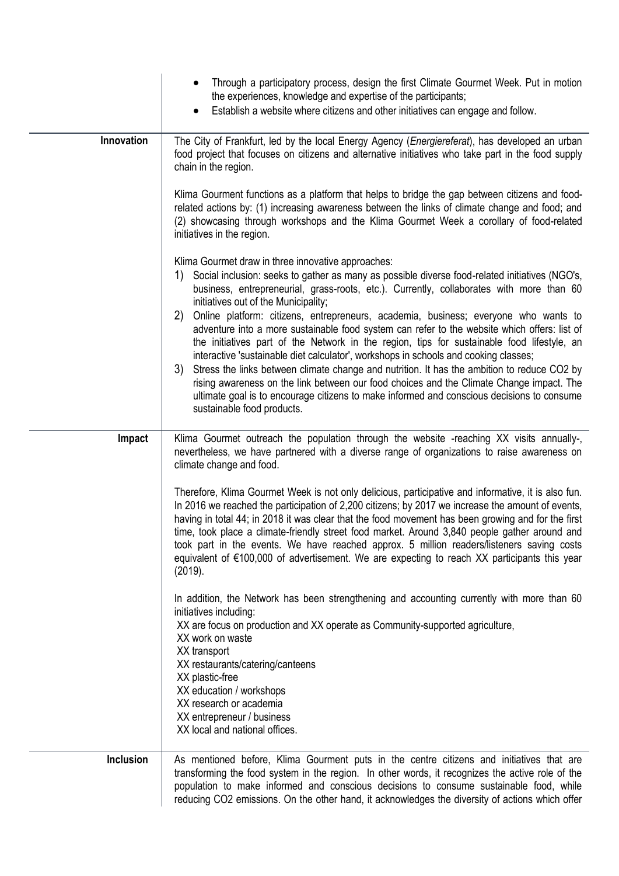|            | Through a participatory process, design the first Climate Gourmet Week. Put in motion<br>the experiences, knowledge and expertise of the participants;                                                                                                                                                                                                                                                                                                                                                                                                                                                                  |
|------------|-------------------------------------------------------------------------------------------------------------------------------------------------------------------------------------------------------------------------------------------------------------------------------------------------------------------------------------------------------------------------------------------------------------------------------------------------------------------------------------------------------------------------------------------------------------------------------------------------------------------------|
|            | Establish a website where citizens and other initiatives can engage and follow.<br>$\bullet$                                                                                                                                                                                                                                                                                                                                                                                                                                                                                                                            |
| Innovation | The City of Frankfurt, led by the local Energy Agency (Energiereferat), has developed an urban<br>food project that focuses on citizens and alternative initiatives who take part in the food supply<br>chain in the region.                                                                                                                                                                                                                                                                                                                                                                                            |
|            | Klima Gourment functions as a platform that helps to bridge the gap between citizens and food-<br>related actions by: (1) increasing awareness between the links of climate change and food; and<br>(2) showcasing through workshops and the Klima Gourmet Week a corollary of food-related<br>initiatives in the region.                                                                                                                                                                                                                                                                                               |
|            | Klima Gourmet draw in three innovative approaches:<br>Social inclusion: seeks to gather as many as possible diverse food-related initiatives (NGO's,<br>1)                                                                                                                                                                                                                                                                                                                                                                                                                                                              |
|            | business, entrepreneurial, grass-roots, etc.). Currently, collaborates with more than 60<br>initiatives out of the Municipality;                                                                                                                                                                                                                                                                                                                                                                                                                                                                                        |
|            | Online platform: citizens, entrepreneurs, academia, business; everyone who wants to<br>2)<br>adventure into a more sustainable food system can refer to the website which offers: list of<br>the initiatives part of the Network in the region, tips for sustainable food lifestyle, an<br>interactive 'sustainable diet calculator', workshops in schools and cooking classes;<br>3)<br>Stress the links between climate change and nutrition. It has the ambition to reduce CO2 by                                                                                                                                    |
|            | rising awareness on the link between our food choices and the Climate Change impact. The<br>ultimate goal is to encourage citizens to make informed and conscious decisions to consume<br>sustainable food products.                                                                                                                                                                                                                                                                                                                                                                                                    |
| Impact     | Klima Gourmet outreach the population through the website -reaching XX visits annually-,<br>nevertheless, we have partnered with a diverse range of organizations to raise awareness on<br>climate change and food.                                                                                                                                                                                                                                                                                                                                                                                                     |
|            | Therefore, Klima Gourmet Week is not only delicious, participative and informative, it is also fun.<br>In 2016 we reached the participation of 2,200 citizens; by 2017 we increase the amount of events,<br>having in total 44; in 2018 it was clear that the food movement has been growing and for the first<br>time, took place a climate-friendly street food market. Around 3,840 people gather around and<br>took part in the events. We have reached approx. 5 million readers/listeners saving costs<br>equivalent of €100,000 of advertisement. We are expecting to reach XX participants this year<br>(2019). |
|            | In addition, the Network has been strengthening and accounting currently with more than 60<br>initiatives including:<br>XX are focus on production and XX operate as Community-supported agriculture,<br>XX work on waste                                                                                                                                                                                                                                                                                                                                                                                               |
|            | XX transport<br>XX restaurants/catering/canteens                                                                                                                                                                                                                                                                                                                                                                                                                                                                                                                                                                        |
|            | XX plastic-free<br>XX education / workshops                                                                                                                                                                                                                                                                                                                                                                                                                                                                                                                                                                             |
|            | XX research or academia<br>XX entrepreneur / business                                                                                                                                                                                                                                                                                                                                                                                                                                                                                                                                                                   |
|            | XX local and national offices.                                                                                                                                                                                                                                                                                                                                                                                                                                                                                                                                                                                          |
| Inclusion  | As mentioned before, Klima Gourment puts in the centre citizens and initiatives that are<br>transforming the food system in the region. In other words, it recognizes the active role of the<br>population to make informed and conscious decisions to consume sustainable food, while<br>reducing CO2 emissions. On the other hand, it acknowledges the diversity of actions which offer                                                                                                                                                                                                                               |